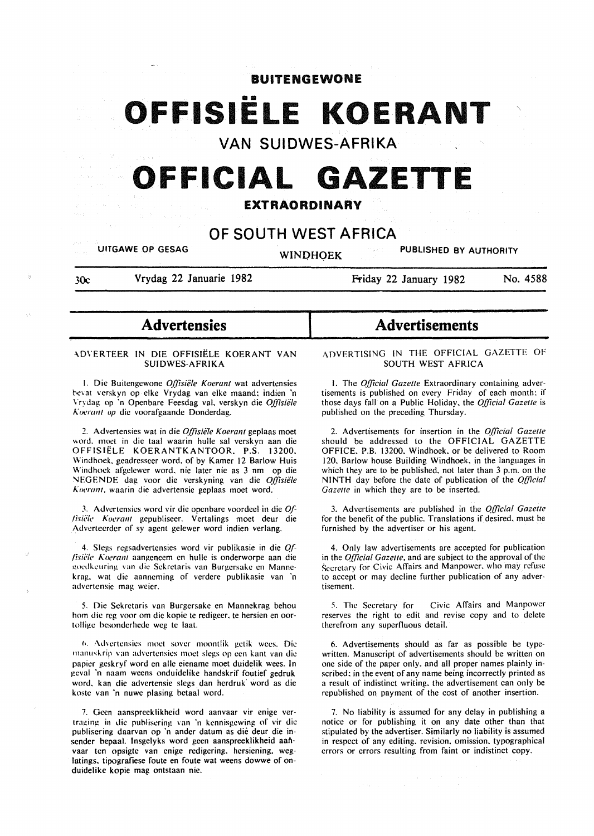BUITENGEWONE

# •• **OFFISIELE KOERANT**

VAN SUIDWES-AFRIKA

# FFICIAL GAZETT

# EXTRAORDINARY

# OF SOUTH WEST AFRICA

I

UITGAWE OP GESAG WINOHQEK PUBLISHED BY AUTHORITY

30c Vrydag 22 Januarie 1982

Friday 22 January 1982 No. 4588

# Advertensies

#### -\0\"ERTEER IN DIE OFFISIELE KOERANT VAN SUIDWES-AFRIKA

I. Die Buitengewone *Offisiele Koerant* wat advertensies bevat verskyn op elke Vrydag van elke maand; indien 'n \"rydag op ·n Openbare Feesdag val. verskyn die *Offisiele*  Koerant op die voorafgaande Donderdag.

2. Advcrtensies wat in die *Qffisie/e Koerant* geplaas moet word. moet in die taal waarin hulle sal verskyn aan die OFFISIELE KOERANTKANTOOR. P.S. 13200. Windhoek. geadresseer word. of by Kamer 12 Barlow Huis Windhoek afgelewer word. nie later nie as 3 nm op die "'EGENDE dag voor die verskyning van die *Offisiele 1\tJt•rant.* waarin die advertensie geplaas moet word.

J. Advcrtensies word vir die openbare voordeel in die *0/- /isii;/c Koaant* gepublisecr. Vertalings moet deur die Adverteerder of sy agent gelewer word indien verlang.

4. Slcgs regsadvcrtensies word vir publikasie in die *0,{ fisiële Koerant* aangeneem en hulle is onderworpe aan die goedkeuring van die Sekretaris van Burgersake en Mannekrag. wat die aanncming of verdere publikasie van 'n advertensic mag wcier.

5. Die Sekrctaris van Burgersakc en Mannekrag behou hom die reg voor om die kopie te redigeer, te hersien en oortolligc hcsonderhcde weg te laat.

6. Advertensies moet sover moontlik getik wees. Die manuskrip van advertensies moet slegs op een kant van die papier geskryf word en aile eiename moet duidelik wees. In geval 'n naam weens onduidelike handskrif foutief gedruk word. kan die advertensie slegs. dan herdruk word as die kostc van 'n nuwe plasing betaal word.

7. Gecn aanspreeklikheid word aanvaar vir enige vertraging in die publisering van 'n kennisgewing of vir die publisering daarvan op 'n ander datum as die deur die insender bepaal. lnsgelyks word geen aanspreeklikheid aaflvaar ten opsigte van enige redigering. hersiening. weglatings, tipografiese foute en foute wat weens dowwe of onduidelike kopie mag ontstaan nie.

# Advertisements

ADVERTISING IN THE OFFICIAL GAZETTE OF SOUTH WEST AFRICA

I. The *Official Gazette* Extraordinary containing advertisements is published on every Friday of each month: if those days fall on a Public Holiday. the *Qfficial Gazette* is published on the preceding Thursday.

2. Advertisements for insertion in the *O.fficia/ Gazette*  should be addressed to the OFFICIAL GAZETTE OFFICE. P.B. 13200. Windhoek, or be delivered to Room 120. Barlow house Building Windhoek. in the languages in which they are to be published. not later than 3 p.m. on the NINTH day before the date of publication of the *Official Gazette* in which they are to be inserted.

3. Advertisements are published in the *O.fficial Gazette*  for the benefit of the public. Translations if desired. must be furnished by the advertiser or his agent.

4. Only law advertisements are accepted for publication in the *0,[/icial Gazette,* and are subject to the approval of the Secretary for Civic Affairs and Manpower, who may refuse to accept or may decline further publication of any advertisement.

5. The Secretary for Civic Affairs and Manpower reserves the right to edit and revise copy and to delete therefrom any superfluous detail.

6. Advertisements should as far as possible be typewritten. Manuscript of advertisements should be written on one side of the paper only. and all proper names plainly inscribed: in the event of any name being incorrectly printed as a result of indistinct writing. the advertisement can only be republished on payment of the cost of another insertion.

7. No liability is assumed for any delay in publishing a notice or for publishing it on any date other than that stipulated by the advertiser. Similarly no liability is assumed in respect of any editing. revision. omission. typographical errors or errors resulting from faint or indistinct copy.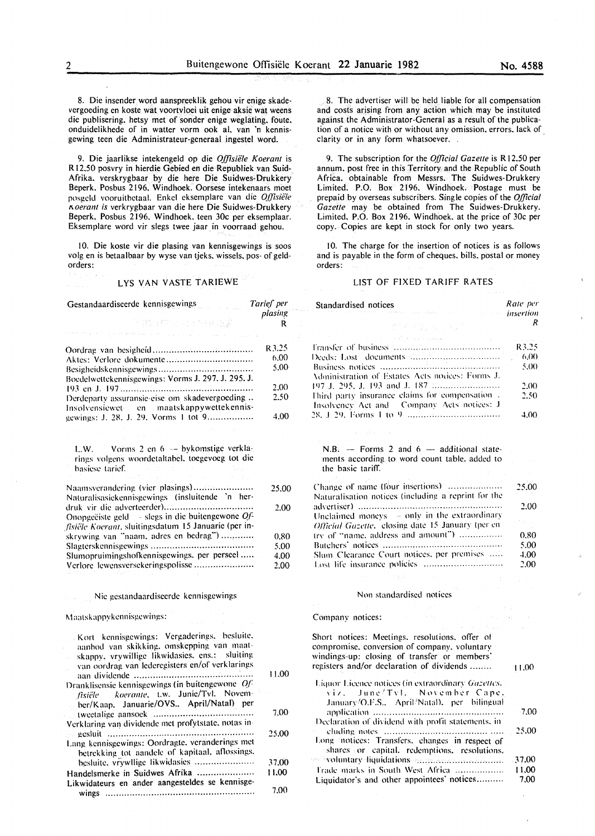8. Die insender word aanspreeklik gehou vir enige skadevergoeding en koste wat voortvloei uit enige aksie wat weens die publisering. hetsy met of sonder enige weglating. foute. onduidelikhede of in walter vorm ook al. van 'n kennisgewing teen die Administrateur-generaal ingestel word.

9. Die jaarlikse intekengeld op die *Offisiiile Koerant* is R 12.50 posvry in hierdie Gebied en die Republiek van Suid-Afrika. verskrygbaar by die here Die Suidwes-Drukkery Beperk. Posbus 2196. Windhoek. Oorsese intekenaar& moet posgeld vooruitbetaal. Enkel eksemplare van die *Qffisiële 1\oerant is* verkrygbaar van die here Die Suidwes-Drukkery Beperk. Posbus 2196. Windhoek. teen 30c per eksemplaar. Eksemplare word vir slegs twee jaar in voorraad gehou.

10. Die koste vir die plasing van kennisgewings is soos volg en is betaalbaar by wyse van tjeks. wissels. pos- of geldorders:

#### LYS VAN VASTE TARIEWE

| Gestandaardiseerde kennisgewings                                                                                                                                                              | Tarief per   |
|-----------------------------------------------------------------------------------------------------------------------------------------------------------------------------------------------|--------------|
| r itteration of environment                                                                                                                                                                   | plasing<br>R |
|                                                                                                                                                                                               | R3.25        |
| Aktes: Verlore dokumente                                                                                                                                                                      | 6.00         |
| Boedelwettekennisgewings: Vorms J. 297, J. 295, J.                                                                                                                                            | 5.00         |
|                                                                                                                                                                                               | 2.00         |
| Derdeparty assuransie-eise om skadevergoeding                                                                                                                                                 | 2.50         |
| Insolvensiewet en maatskappywettekennis-<br>gewings: J. 28, J. 29, Vorms 1 tot 9                                                                                                              | 4.00         |
|                                                                                                                                                                                               |              |
| Vorms 2 en 6 - bykomstige verkla-<br>L.W.<br>rings volgens woordetaltabel, toegevoeg tot die<br>basiese tarief.                                                                               |              |
| Naamsverandering (vier plasings)<br>Naturalisasiekennisgewings (insluitende 'n her-                                                                                                           | 25.00        |
| Onopgeëiste geld - slegs in die buitengewone $Of$ -<br>fisiële Koerant, sluitingsdatum 15 Januarie (per in-                                                                                   | 2.00         |
| skrywing van "naam, adres en bedrag")                                                                                                                                                         | 0.80         |
|                                                                                                                                                                                               | 5.00         |
| Slumopruimingshofkennisgewings, per perseel<br>Verlore lewensversekeringspolisse                                                                                                              | 4.00<br>2.00 |
| Nie gestandaardiseerde kennisgewings                                                                                                                                                          |              |
| Maatskappykennisgewings:                                                                                                                                                                      |              |
| Kort kennisgewings: Vergaderings, besluite,<br>aanbod van skikking, omskepping van maat-<br>skappy, vrywillige likwidasies, ens.: sluiting<br>van oordrag van lederegisters en/of verklarings | 11.00        |
| Dranklisensie kennisgewings (in buitengewone Of-<br>koerante, t.w. Junie/Tvl. Novem-<br>fisiële<br>ber/Kaap. Januarie/OVS April/Natal) per                                                    |              |
| Verklaring van dividende met profytstate, notas in-                                                                                                                                           | 7.00         |
| Lang kennisgewings: Oordragte, veranderings met                                                                                                                                               | 25.00        |
| betrekking tot aandele of kapitaal, aflossings,                                                                                                                                               |              |
| besluite. vrywllige likwidasies                                                                                                                                                               | 37.00        |
| Handelsmerke in Suidwes Afrika<br>Likwidateurs en ander aangesteldes se kennisge-                                                                                                             | 11.00        |
| wings                                                                                                                                                                                         | 7.00         |

8. The advertiser will be held liable for all compensation and costs arising from any action which may be instituted against the Administrator-General as a result of the publication of a notice with or without any omission. errors. lack of clarity or in any form whatsoever.

9. The subscription for the *Official Gazette* is R 12.50 per annum. post free in this Territory and the Republic of South Africa. obtainable from Messrs. The Suidwes-Drukkery Limited. P.O. Box 2196. Windhoek. Postage must be prepaid by overseas subscribers. Single copies of the *Official Gazette* may be obtained from The Suidwes-Drukkery. Limited. P.O. Box 2196. Windhoek. at the price of 30c per copy. Copies are kept in stock for only two years.

10. The charge for the insertion of notices is as follows and is payable in the form of cheques. bills. postal or money orders:

#### LIST OF FIXED TARIFF RATES

Standardised notices

| asing | the construction of the company                                                                                                                                                             | <b><i>insertion</i></b> |
|-------|---------------------------------------------------------------------------------------------------------------------------------------------------------------------------------------------|-------------------------|
| R     | 2018年12月10日 10月                                                                                                                                                                             | R                       |
|       | and the state of the state of the state of the state of the state of the state of the state of the state of the                                                                             | R3.25                   |
| 3.25  | Deeds: Lost                                                                                                                                                                                 | 6,00                    |
| 6.00  |                                                                                                                                                                                             | 5.00                    |
| 5.00  | Administration of Estates Acts notices: Forms J.                                                                                                                                            |                         |
| 2.00  |                                                                                                                                                                                             | 2.00                    |
| 2.50  | Third party insurance claims for compensation.<br>Insolvency Act and Company Acts notices: J                                                                                                | 2.50                    |
| 4.00  |                                                                                                                                                                                             | 4.00                    |
|       |                                                                                                                                                                                             |                         |
|       | $N.B.$ - Forms 2 and 6 - additional state-<br>ments according to word count table, added to<br>the basic tariff.                                                                            |                         |
|       |                                                                                                                                                                                             |                         |
| 25.00 | Change of name (four insertions)<br>Naturalisation notices (including a reprint for the                                                                                                     | 25.00                   |
| 2.00  |                                                                                                                                                                                             | 2.00                    |
|       | Unclaimed moneys - only in the extraordinary<br>Official Gazette, closing date 15 January (per en                                                                                           | $\hat{\mathcal{L}}$     |
| 0.80  | try of "name, address and amount")                                                                                                                                                          | 0.80                    |
| 5.00  |                                                                                                                                                                                             | 5.00                    |
| 4.00  | Slum Clearance Court notices, per premises                                                                                                                                                  | 4.00                    |
| 2.00  | Lost life insurance policies                                                                                                                                                                | 2.00                    |
|       |                                                                                                                                                                                             |                         |
|       | Non standardised notices                                                                                                                                                                    |                         |
|       |                                                                                                                                                                                             |                         |
|       | Company notices:                                                                                                                                                                            |                         |
|       | Short notices: Meetings, resolutions, offer of<br>compromise, conversion of company, voluntary<br>windings-up: closing of transfer or members'<br>registers and/or declaration of dividends | 11.00                   |
| 11.00 | Liquor Licence notices (in extraordinary Gazettes,<br>June/Tyl. November Cape,<br>viz. –<br>January/O.F.S., April/Natal), per bilingual                                                     |                         |
| 7,00  | Declaration of dividend with profit statements, in                                                                                                                                          | -7.00                   |
| 25.00 | Long notices: Transfers, changes in respect of<br>shares or capital, redemptions, resolutions,                                                                                              | 25.00                   |
| 37.00 | see syntantary liquidations and management and an                                                                                                                                           | -37.00                  |
| 1,00  | Frade marks in South West Africa                                                                                                                                                            | 11.00                   |
|       | Liquidator's and other appointees' notices                                                                                                                                                  | 7.00                    |
|       |                                                                                                                                                                                             |                         |

*Rate per*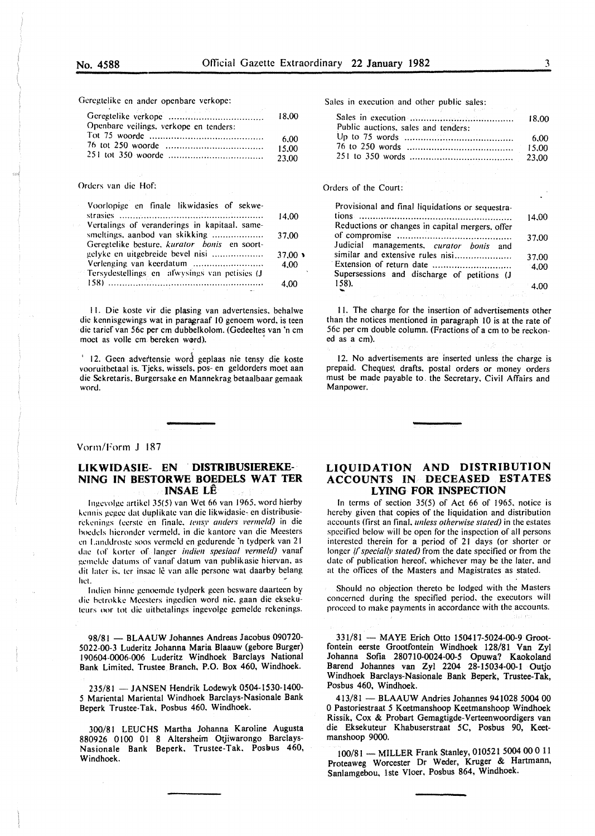Geregtelike en ander openbare verkope:

|                                        | 18.00 |
|----------------------------------------|-------|
| Openbare veilings, verkope en tenders: |       |
|                                        | 6.00  |
|                                        | 15.00 |
|                                        | 23.00 |

#### Orders van die Hof:

| Voorlopige en finale likwidasies of sekwe-    |                |
|-----------------------------------------------|----------------|
|                                               | 14.00          |
| Vertalings of veranderings in kapitaal, same- |                |
| smeltings, aanbod van skikking                | 37.00          |
| Geregtelike besture, kurator bonis en soort-  |                |
| gelyke en uitgebreide bevel nisi              | $37.00 \times$ |
| Verlenging van keerdatum                      | 4.00           |
| Tersydestellings en afwysings van petisies (J |                |
|                                               | 4.00           |
|                                               |                |

II. Die koste vir die plasing van advertensies. behalwe die kennisgewings wat in paragraaf 10 genoem word, is teen die tarief van 56c per em dubbelkolom. (Gedeeltes van 'n em moet as volle cm bereken word).

' 12. Geen advertensie word geplaas nie tensy die koste vooruitbetaal is. Tjeks. wissels, pos- en geldorders moet aan die Sckretaris, Burgersake en Mannekrag betaalbaar gemaak word.

Vorm/Form J 187

#### LIKWIDASIE- EN DISTRIBUSIEREKE- · NING IN BESTORWE BOEDELS WAT TER INSAE LE

Ingevolge artikel 35(5) van Wet 66 van 1965, word hierby kennis gegee dat duplikate van die likwidasie- en distribusierekenings (eerste en finale. *tensy anders vermeld)* in die hoedels hieronder vcrmcld. in die kantore van die Meesters en Landdroste soos vermeld en gedurende 'n tydperk van 21 tlae (of korter of Ianger *indien spesiaal 1•erme!d)* vanaf gemelde datums of vanaf datum van publikasie hiervan, as dit later is, ter insae lê van alle persone wat daarby belang het. *#* 

Indien binne genoemde tydperk geen besware daarteen by die hetrokke Mcesters ingedien word nie. gaan die eksekuteurs oor tot die uitbetalings ingevolge gemelde rekenings.

98/81 - BLAAUW Johannes Andreas Jacobus 090720-5022-00-3 Luderitz Johanna Maria Blaauw (gebore Burger) 190604-0006-006 Luderitz Windhoek Barclays National Bank Limited, Trustee Branch. P.O. Box 460, Windhoek.

235/81 -JANSEN Hendrik Lodewyk 0504-1530-1400- 5 Mariental Mariental Windhoek Barclays-Nasionale Bank Beperk Trustee-Tak. Posbus 460. Windhoek.

300/81 LEUC HS Martha Johanna Karoline Augusta 880926 0100 01 8 Altersheim Otjiwarongo Barclays-Nasionale Bank Beperk, Trustee-Tak. Posbus 460, Windhoek.

Sales in execution and other public sales:

| Public auctions, sales and tenders: | - 6.00 |
|-------------------------------------|--------|
|                                     |        |
|                                     |        |

#### Orders of the Court:

| Provisional and final liquidations or sequestra- |         |
|--------------------------------------------------|---------|
|                                                  | 14.00   |
| Reductions or changes in capital mergers, offer  |         |
|                                                  | 37.00   |
| Judicial managements, curator bonis and          |         |
| similar and extensive rules nisi                 | 37.00   |
| Extension of return date                         | 4.00    |
| Supersessions and discharge of petitions (J      |         |
| $158$ ).<br><b>1000 BML STORE STATE</b>          | $-4.00$ |

II. The charge for the insertion of advertisements other than the notices mentioned in paragraph 10 is at the rate of 56c per ern double column. (Fractions of a em to be reckoned as a em).

12. No advertisements are inserted unless the charge is prepaid. Cheques! drafts, postal orders or money orders must be made payable to. the Secretary, Civil Affairs and Manpower.

#### LIQUIDATION AND DISTRIBUTION ACCOUNTS IN DECEASED ESTATES LYING FOR INSPECTION

In terms of section 35(5) of Act 66 of 1965, notice is hereby given that copies of the liquidation and distribution accounts (first an final. *unless otherwise stated)* in the estates specified below will be open for the inspection of all persons interested therein for a period of 21 days (or shorter or longer *if specially stated*) from the date specified or from the date of publication hereof. whichever may be the later. and at the offices of the Masters and Magistrates as stated.

Should no objection thereto be lodged with the Masters concerned during the specified period. the executors will proceed to make payments in accordance with the accounts.

331/81 - MAYE Erich Otto 150417-5024-00-9 Grootfontein eerste Grootfontein Windhoek 128/81 Van Zyl Johanna Sofia 280710-0024-00-5 Opuwa? Kaokoland Barend Johannes van Zyl 2204 28-15034-00-1 Outjo Windhoek Barclays-Nasionale Bank Beperk, Trustee-Tak, Posbus 460, Windhoek.

413/81 - BLAAUW Andries Johannes 941028 5004 00 0 Pastoriestraat 5 Keetmanshoop Keetmanshoop Windhoek Rissik, Cox & Probart Gemagtigde-Verteenwoordigers van die Eksekuteur Khabuserstraat 5C, Posbus 90, Keetmanshoop 9000.

100/81 -MILLER Frank Stanley, 010521 *5004* 00 0 11 Proteaweg Worcester Dr Weder, Kruger & Hartmann, Sanlamgebou, lste Vloer, Posbus 864, Windhoek.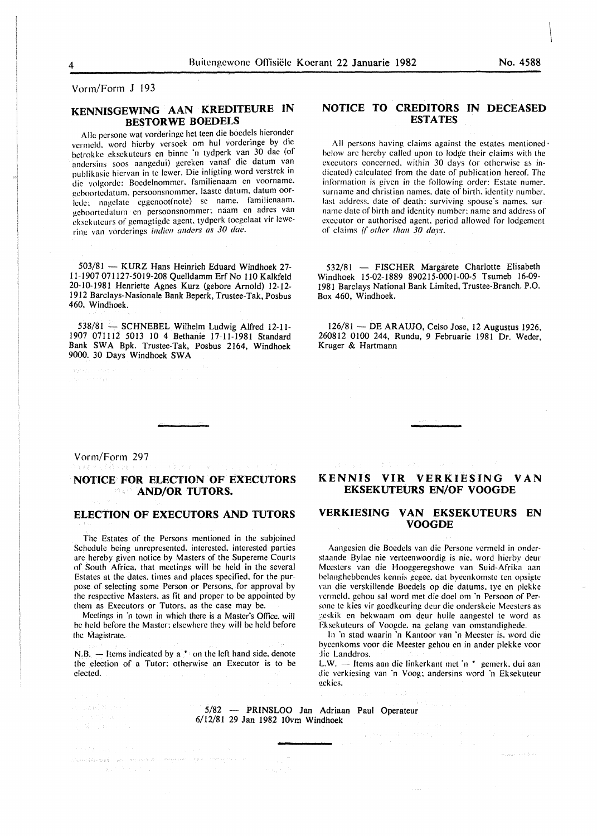Vorrn/Form J 193

## **KENNISGEWING AAN KREDITEURE IN BESTORWE BOEDELS**

Aile pcrsonc wat vorderingc het teen die boedels hieronder vermcld. word hicrby versock om hul vorderinge by die betrokke cksckuteurs en binnc 'n tydperk van 30 dae (of andcrsins soos aangedui) gerckcn vanaf die datum van publikasie hiervan in te lewer. Die inligting word verstrek in die volgorde: Bocdclnommer. familienaam en voorname. geboortcdatum. persoonsnommer. laastc datum. datum oorlcde: nagelate eggenoot(note) se name. familienaam. geboortedatum en persoonsnommer: naam en adrcs van eksekuteurs of gemagtigde agent, tydperk toegelaat vir lewering van vorderings *indien anders as 30 dae*.

503/81 - KURZ Hans Heinrich Eduard Windhoek 27-11-1907 071127-5019-208 Quelldamm Erf No 110 Kalkfeld 20-10-1981 Henriette Agnes Kurz (gebore Arnold) 12-12- 1912 Barclays-Nasionale Bank Beperk, Trustee-Tak, Posbus 460, Windhoek.

538/81 - SCHNEBEL Wilhelm Ludwig Alfred 12-11-1907 071112 5013 10 4 Bethanie 17-11-1981 Standard Bank SWA Bpk. Trustee-Tak, Posbus 2164, Windhoek 9000. 30 Days Windhoek SWA

## **NOTICE TO CREDITORS IN DECEASED ESTATES**

All persons having claims against the estates mentioned· below arc hereby called upon to lodge their claims with the executors concerned. within 30 days (or otherwise as indicated) calculated from the date of publication hereof. The information is given in the following order: Estate numer. surname and christian names, date of birth, identity number, last address, date of death: surviving spouse's names. surname date of birth and identity number: name and address of executor or authorised agent. poriod allowed for lodgement of claims *if other than 30 days.* 

532/81 - FISCHER Margarete Charlotte Elisabeth Windhoek 15-02-1889 890215-0001-00-5 Tsumeb 16-09- 1981 Barclays National Bank Limited, Trustee-Branch. P.O. Box 460, Windhoek.

 $126/81$  - DE ARAUJO, Celso Jose, 12 Augustus 1926, 260812 0100 244, Rundu, 9 Februarie 1981 Dr. Weder, Kruger & Hartmann

#### Vorm/Forrn 297

#### **NOTICE FOR ELECTION OF EXECUTORS AND/OR TUTORS.**  작품은

#### **ELECTION OF EXECUTORS AND TUTORS**

The Estates of the Persons mentioned in the subjoined Schedule being unrepresented. interested. interested parties arc hereby given notice by Masters of the Supcreme Courts of South Africa. that meetings will be held in the several Estates at the dates. times and places specified. for the purpose of selecting some Person or Persons. for approval by the respective Masters. as fit and proper to be appointed by them as Executors or Tutors. as the case may be.

Meetings in 'n town in which there is a Master's Office, will be held before the Master: elsewhere they will be held before the Magistrate.

N.B.  $-$  Items indicated by a  $*$  on the left hand side, denote the election of a Tutor: otherwise an Executor is to be elected.

a (1944), and a strong stress of the state of the state of the state of the state of the state of the state of<br>All and All and a stress of the state of the state of the state of the state of the state of the state of the

## **KENNIS VIR VERKIESING VAN EKSEKUTEURS EN/OF VOOGDE**

## **VERKIESING VAN EKSEKUTEURS EN VOOGDE**

Aangesien die Boedels van die Persone vermeld in onderstaande Bylae nie verteenwoordig is nie. word hierby deur Meesters van die Hooggeregshowe van Suid-Afrika aan helanghebbendes kennis gegee. dat byeenkomste ten opsigtc van die verskillende Boedels op die datums, tye en plekke vermeld, gehou sal word met die doel om 'n Persoon of Persone te kies vir goedkeuring deur die onderskeie Meesters as ·:.e~kik en bekwaam om deur hulle aangestel te word as Eksekuteurs of Voogde, na gelang van omstandighede.

In 'n stad waarin 'n Kantoor van ·n Meester is. word die hyeenkoms voor die Meester gehou en in ander plekke voor Jie Landdros.

L.W. - Items aan die linkerkant met 'n \* gemerk. dui aan die verkiesing van ·n Voog: andersins word ·n Eksekuteur gekies.

5/82 - PRINSLOO Jan Adriaan Paul Operateur 6/12/81 29 Jan 1982 !Ovm Windhoek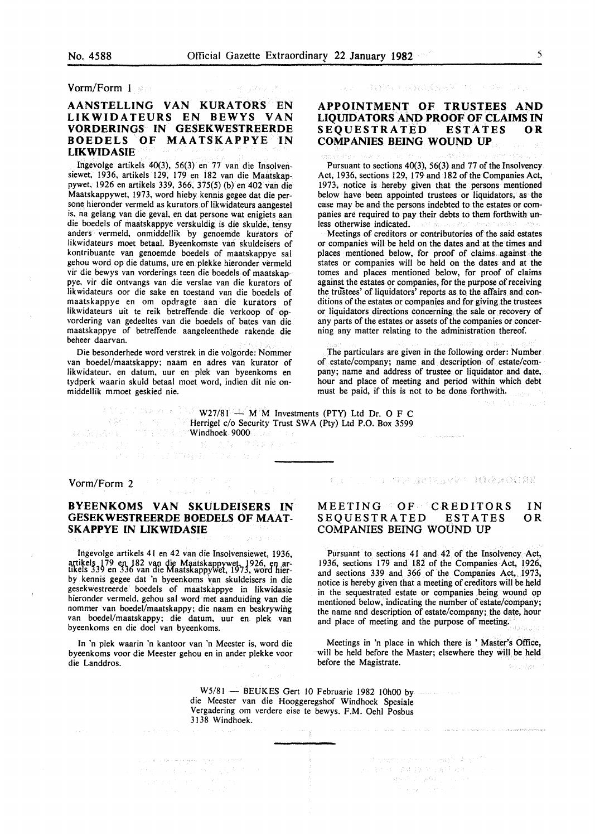#### Vorm/Form l

#### AANSTELLING VAN KURATORS EN LIKWIDATEURS EN BEWYS VAN VORDERINGS IN GESEKWESTREERDE BOEDELS OF MAATSKAPPYE IN LIKWIDASIE

Ingevolge artikels 40(3), 56(3) en 77 van die Insolvensiewet, 1936, artikels 129, 179 en 182 van die Maatskappywet, 1926 en artikels 339, 366, 375(5) (b) en 402 van die Maatskappywet, 1973, word hieby kennis gegee dat die persone hieronder vermeld as kurators of likwidateurs aangestel is, na gelang van die geval, en dat persone wat enigiets aan die boedels of maatskappye verskuldig is die skulde, tensy anders vermeld, onmiddellik by genoemde kurators of likwidateurs moet betaal. Byeenkomste van skuldeisers of kontribuante van genoemde boedels of maatskappye sal gehou word op die datums, ure en plekke hieronder vermeld vir die bewys van vorderings teen die boedels of maatskappye, vir die ontvangs van die verslae van die kurators of likwidateurs oor die sake en toestand van die boedels of maatskappye en om opdragte aan die kurators of likwidateurs uit te reik betreffende die verkoop of opvordering van gedeeltes van die boedels of bates van die maatskappye of betreffende aangeleenthede rakende die beheer daarvan.

Die besonderhede word verstrek in die volgorde: Nommer van boedel/maatskappy; naam en adres van kurator of likwidateur. en datum, uur en plek van byeenkoms en tydperk waarin skuld betaal moet word, indien dit nie onmiddellik mmoet geskied nie.

 $\gamma_{\rm{ph}}$ 

「我はやいと、気にんでんだいがく」 トゥン

### APPOINTMENT OF TRUSTEES AND LIQUIDATORS AND PROOF OF CLAIMS IN SEQUESTRATED ESTATES OR COMPANIES BEING WOUND UP

Pursuant to sections 40(3), 56(3) and 77 of the Insolvency Act, 1936, sections 129, 179 and 182 of the Companies Act, 1973, notice is hereby given that the persons mentioned below have been appointed trustees or liquidators, as the case may be and the persons indebted to the estates or companies are required to pay their debts to them forthwith unless otherwise indicated.

Meetings of creditors or contributories of the said estates or companies will be held on the dates and at the times and places mentioned below, for proof of claims against. the states or companies will be held on the dates and at the tomes and places mentioned below, for proof of claims against the estates or companies, for the purpose of receiving the trustees' of liquidators' reports as to the affairs and conditions of the estates or companies and for giving the trustees or liquidators directions concerning the sale or recovery of any parts of the estates or assets of the companies or concerning any matter relating to the administration thereof.

The particulars are given in the following order: Number of estate/company; name and description of estate/company; name and address of trustee or liquidator and date, hour and place of meeting and period within which debt must be paid, if this is not to be done forthwith. stera.

93 (2011) Sayard

 $W27/81 - M \dot{M}$  Investments (PTY) Ltd Dr. O F C Herrigel c/o Security Trust SWA (Pty) Ltd P.O. Box 3599 Windhoek 9000

网络复产业

#### Vorm/Form 2

### BYEENKOMS VAN SKULDEISERS IN GESEKWESTREERDE BOEDELS OF MAAT-SKAPPYE IN LIKWIDASIE

医骨下的 有效率

and the commands to the Ver

- 路 - 九春

Ingevolge artikels 41 en 42 van die Insolvensiewet, 1936, artikels 179 en 182 van die Maatskappywet. 1926, en ar-<br>tikels 339 en 336 van die Maatskappywel, 1973, word hierby kennis gegee dat 'n byeenkoms \:an skuldeisers in die gesekwestreerde boedels of maatskappye in likwidasie hieronder vermeld. gehou sal word met aanduiding van die nommer van boedel/maatskappy; die naam en beskrywing van boedel/maatskappy; die datum, uur en plek van byeenkoms en die doe! van byeenkoms.

In 'n plek waarin 'n kantoor van 'n Meester is, word die byeenkoms voor die Meester gehou en in ander plekke voor die Landdros.

فهجمها والمتاحي والمعروف المعاهوم وسيتمر والموارث والتناول

ing in

#### KEN TELEVISION DIA TRELATION TERRITORIA

#### MEETING OF CREDITORS SEQUESTRATED ESTATES COMPANIES BEING WOUND UP IN OR

Pursuant to sections 41 and 42 of the Insolvency Act, 1936, sections 179 and 182 of the Companies Act, 1926, and sections 339 and 366 of the Companies Act, 1973, notice is hereby given that a meeting of creditors will be held in the sequestrated estate or companies being wound op mentioned below, indicating the number of estate/company; the name and description of estate/company; the date, hour and place of meeting and the purpose of meeting.

Meetings in 'n place in which there is ' Master's Office, will be held before the Master; elsewhere they will be held before the Magistrate.

contained in the section of the court of ender perducted ender

**Service** Service

The part production of the product of the

医三氯化铁 法处理的 医胸骨的 化三氯 a a shekarar 1990<br>Ang mga barangay

W5/81 - BEUKES Gert 10 Februarie 1982 10h00 by die Meester van die Hooggeregshof Windhoek Spesiale Vergadering om verdere eise te bewys. F.M. Oehl Posbus 3 138 Windhoek.